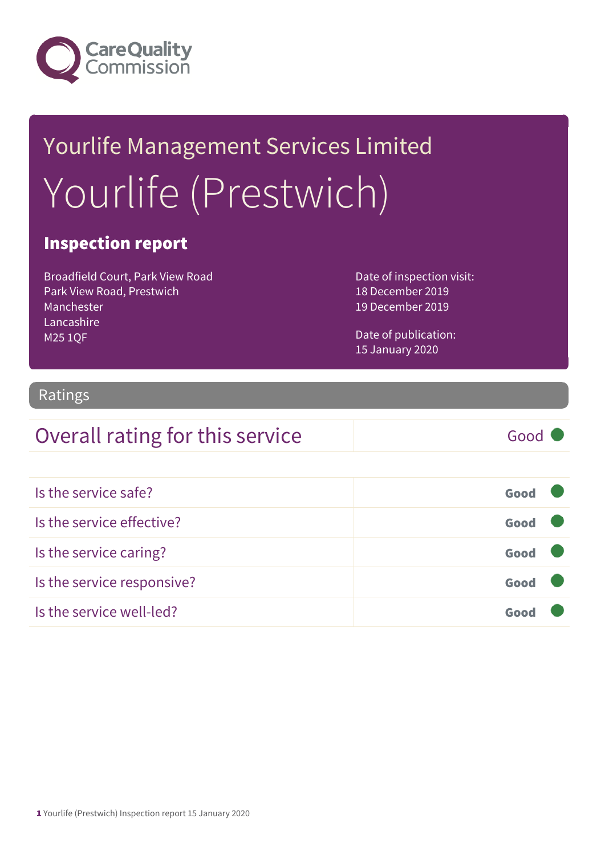

## Yourlife Management Services Limited Yourlife (Prestwich)

#### Inspection report

Broadfield Court, Park View Road Park View Road, Prestwich Manchester Lancashire M25 1QF

Date of inspection visit: 18 December 2019 19 December 2019

Date of publication: 15 January 2020

#### Ratings

#### Overall rating for this service Good

| Is the service safe?       | Good |  |
|----------------------------|------|--|
| Is the service effective?  | Good |  |
| Is the service caring?     | Good |  |
| Is the service responsive? | Good |  |
| Is the service well-led?   | Goo  |  |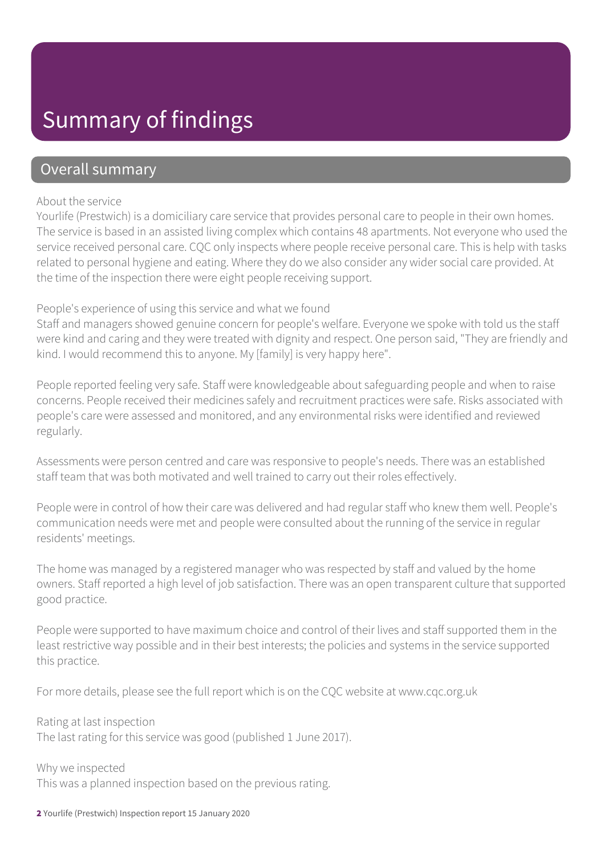### Summary of findings

#### Overall summary

#### About the service

Yourlife (Prestwich) is a domiciliary care service that provides personal care to people in their own homes. The service is based in an assisted living complex which contains 48 apartments. Not everyone who used the service received personal care. CQC only inspects where people receive personal care. This is help with tasks related to personal hygiene and eating. Where they do we also consider any wider social care provided. At the time of the inspection there were eight people receiving support.

People's experience of using this service and what we found

Staff and managers showed genuine concern for people's welfare. Everyone we spoke with told us the staff were kind and caring and they were treated with dignity and respect. One person said, "They are friendly and kind. I would recommend this to anyone. My [family] is very happy here".

People reported feeling very safe. Staff were knowledgeable about safeguarding people and when to raise concerns. People received their medicines safely and recruitment practices were safe. Risks associated with people's care were assessed and monitored, and any environmental risks were identified and reviewed regularly.

Assessments were person centred and care was responsive to people's needs. There was an established staff team that was both motivated and well trained to carry out their roles effectively.

People were in control of how their care was delivered and had regular staff who knew them well. People's communication needs were met and people were consulted about the running of the service in regular residents' meetings.

The home was managed by a registered manager who was respected by staff and valued by the home owners. Staff reported a high level of job satisfaction. There was an open transparent culture that supported good practice.

People were supported to have maximum choice and control of their lives and staff supported them in the least restrictive way possible and in their best interests; the policies and systems in the service supported this practice.

For more details, please see the full report which is on the CQC website at www.cqc.org.uk

Rating at last inspection The last rating for this service was good (published 1 June 2017).

Why we inspected This was a planned inspection based on the previous rating.

2 Yourlife (Prestwich) Inspection report 15 January 2020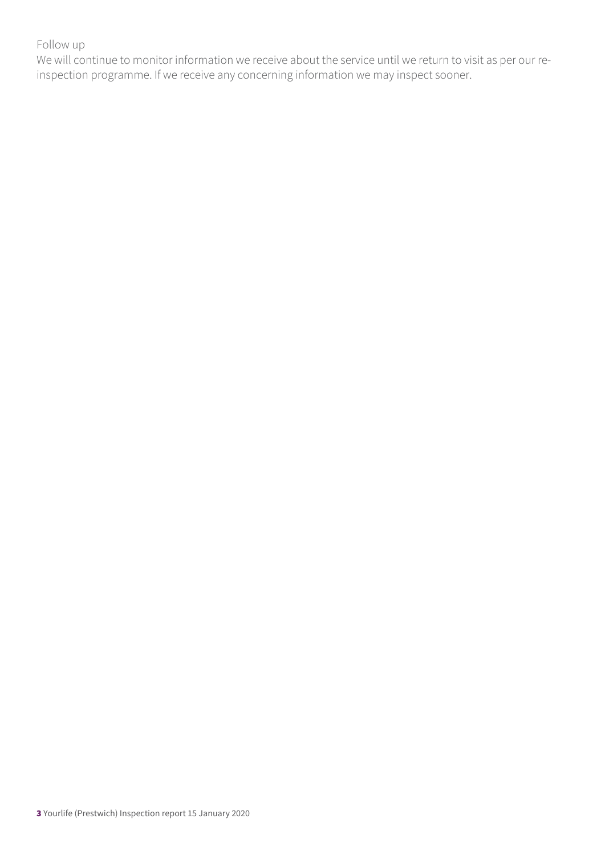#### Follow up

We will continue to monitor information we receive about the service until we return to visit as per our reinspection programme. If we receive any concerning information we may inspect sooner.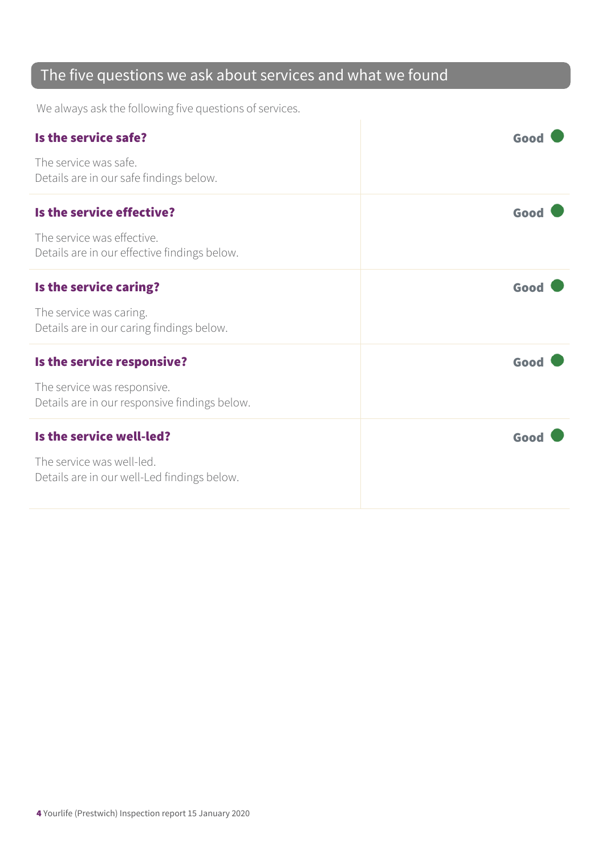#### The five questions we ask about services and what we found

We always ask the following five questions of services.

| Is the service safe?                                                         | Good |
|------------------------------------------------------------------------------|------|
| The service was safe.<br>Details are in our safe findings below.             |      |
| Is the service effective?                                                    | Good |
| The service was effective.<br>Details are in our effective findings below.   |      |
| Is the service caring?                                                       | Good |
| The service was caring.<br>Details are in our caring findings below.         |      |
| Is the service responsive?                                                   | Good |
| The service was responsive.<br>Details are in our responsive findings below. |      |
| Is the service well-led?                                                     | Good |
| The service was well-led.<br>Details are in our well-Led findings below.     |      |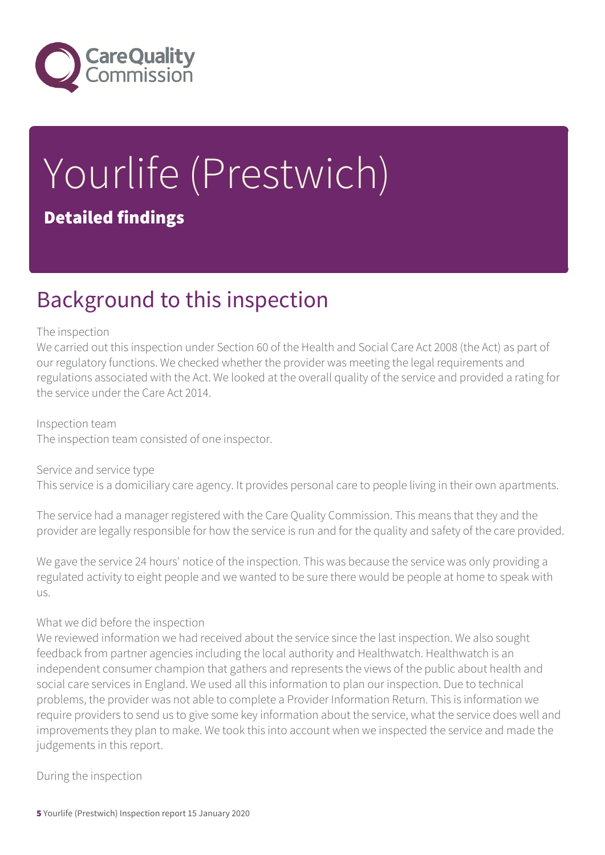

# Yourlife (Prestwich)

#### Detailed findings

### Background to this inspection

#### The inspection

We carried out this inspection under Section 60 of the Health and Social Care Act 2008 (the Act) as part of our regulatory functions. We checked whether the provider was meeting the legal requirements and regulations associated with the Act. We looked at the overall quality of the service and provided a rating for the service under the Care Act 2014.

Inspection team The inspection team consisted of one inspector.

Service and service type This service is a domiciliary care agency. It provides personal care to people living in their own apartments.

The service had a manager registered with the Care Quality Commission. This means that they and the provider are legally responsible for how the service is run and for the quality and safety of the care provided.

We gave the service 24 hours' notice of the inspection. This was because the service was only providing a regulated activity to eight people and we wanted to be sure there would be people at home to speak with us.

#### What we did before the inspection

We reviewed information we had received about the service since the last inspection. We also sought feedback from partner agencies including the local authority and Healthwatch. Healthwatch is an independent consumer champion that gathers and represents the views of the public about health and social care services in England. We used all this information to plan our inspection. Due to technical problems, the provider was not able to complete a Provider Information Return. This is information we require providers to send us to give some key information about the service, what the service does well and improvements they plan to make. We took this into account when we inspected the service and made the judgements in this report.

During the inspection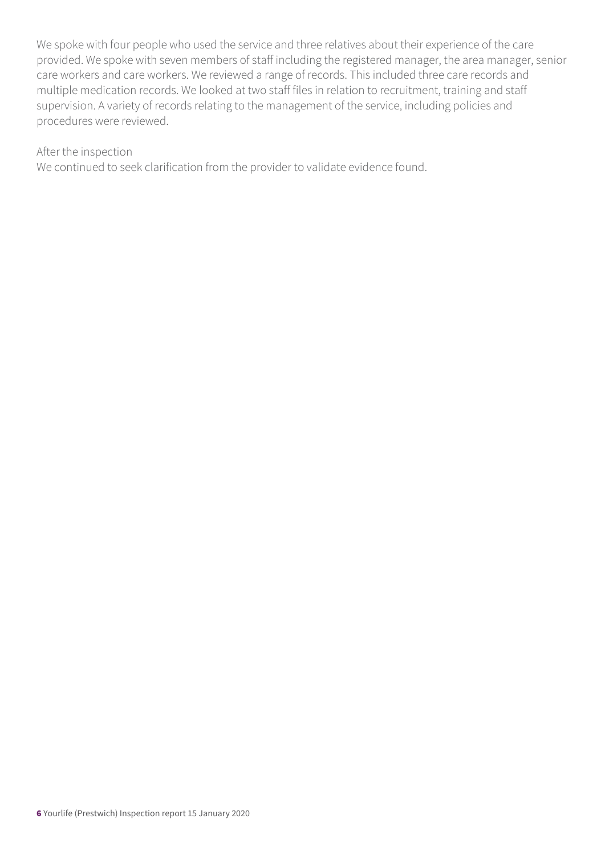We spoke with four people who used the service and three relatives about their experience of the care provided. We spoke with seven members of staff including the registered manager, the area manager, senior care workers and care workers. We reviewed a range of records. This included three care records and multiple medication records. We looked at two staff files in relation to recruitment, training and staff supervision. A variety of records relating to the management of the service, including policies and procedures were reviewed.

#### After the inspection

We continued to seek clarification from the provider to validate evidence found.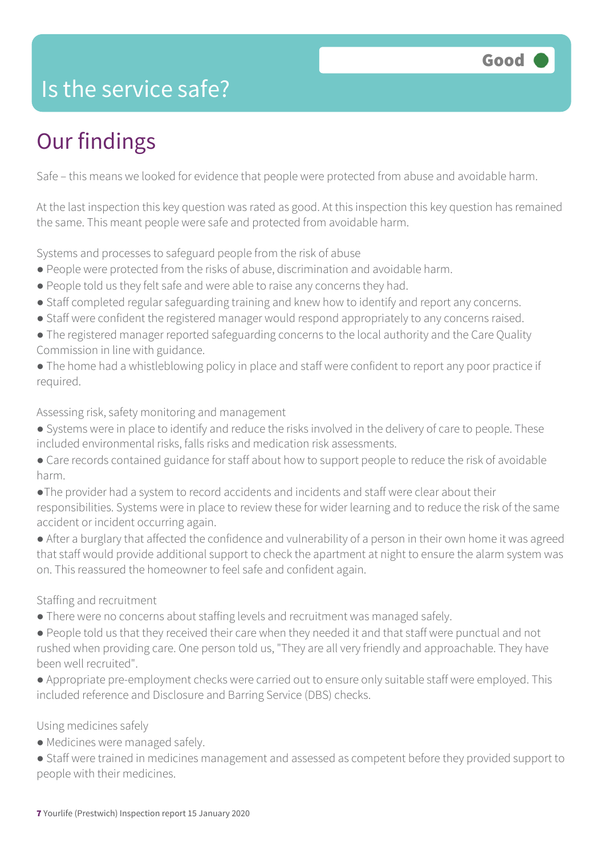### Is the service safe?

### Our findings

Safe – this means we looked for evidence that people were protected from abuse and avoidable harm.

At the last inspection this key question was rated as good. At this inspection this key question has remained the same. This meant people were safe and protected from avoidable harm.

Systems and processes to safeguard people from the risk of abuse

- People were protected from the risks of abuse, discrimination and avoidable harm.
- People told us they felt safe and were able to raise any concerns they had.
- Staff completed regular safeguarding training and knew how to identify and report any concerns.
- Staff were confident the registered manager would respond appropriately to any concerns raised.
- The registered manager reported safeguarding concerns to the local authority and the Care Quality Commission in line with guidance.
- The home had a whistleblowing policy in place and staff were confident to report any poor practice if required.

Assessing risk, safety monitoring and management

- Systems were in place to identify and reduce the risks involved in the delivery of care to people. These included environmental risks, falls risks and medication risk assessments.
- Care records contained guidance for staff about how to support people to reduce the risk of avoidable harm.
- ●The provider had a system to record accidents and incidents and staff were clear about their responsibilities. Systems were in place to review these for wider learning and to reduce the risk of the same accident or incident occurring again.
- After a burglary that affected the confidence and vulnerability of a person in their own home it was agreed that staff would provide additional support to check the apartment at night to ensure the alarm system was on. This reassured the homeowner to feel safe and confident again.

#### Staffing and recruitment

- There were no concerns about staffing levels and recruitment was managed safely.
- People told us that they received their care when they needed it and that staff were punctual and not rushed when providing care. One person told us, "They are all very friendly and approachable. They have been well recruited".
- Appropriate pre-employment checks were carried out to ensure only suitable staff were employed. This included reference and Disclosure and Barring Service (DBS) checks.

#### Using medicines safely

- Medicines were managed safely.
- Staff were trained in medicines management and assessed as competent before they provided support to people with their medicines.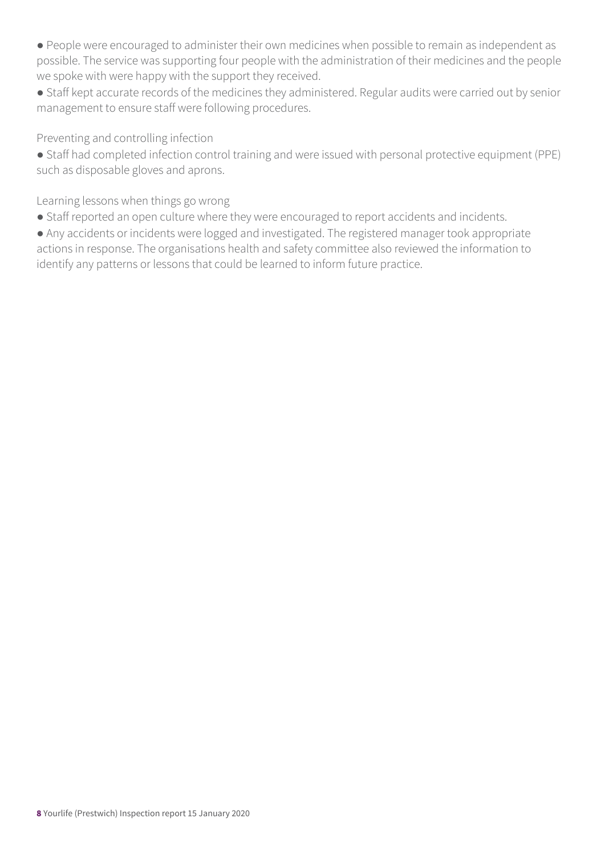● People were encouraged to administer their own medicines when possible to remain as independent as possible. The service was supporting four people with the administration of their medicines and the people we spoke with were happy with the support they received.

● Staff kept accurate records of the medicines they administered. Regular audits were carried out by senior management to ensure staff were following procedures.

Preventing and controlling infection

● Staff had completed infection control training and were issued with personal protective equipment (PPE) such as disposable gloves and aprons.

Learning lessons when things go wrong

● Staff reported an open culture where they were encouraged to report accidents and incidents.

● Any accidents or incidents were logged and investigated. The registered manager took appropriate actions in response. The organisations health and safety committee also reviewed the information to identify any patterns or lessons that could be learned to inform future practice.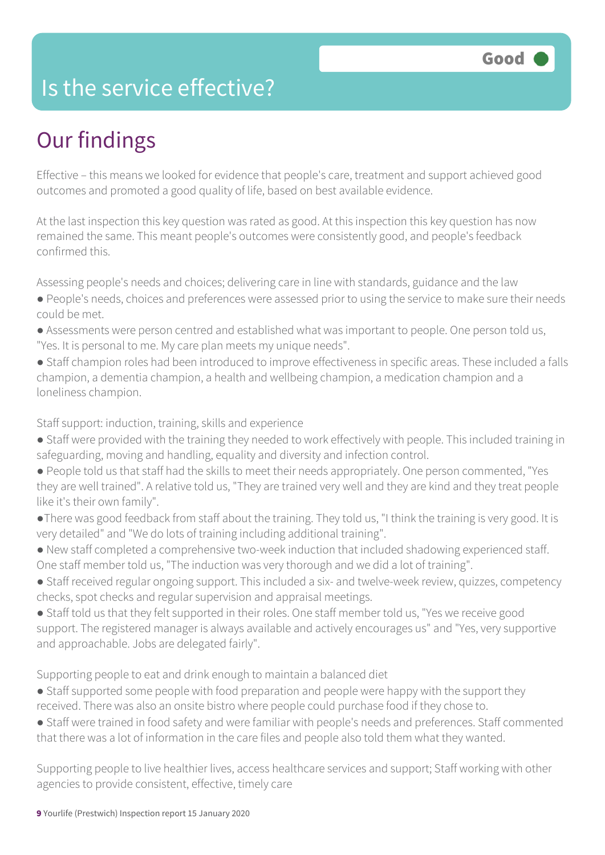### Is the service effective?

### Our findings

Effective – this means we looked for evidence that people's care, treatment and support achieved good outcomes and promoted a good quality of life, based on best available evidence.

At the last inspection this key question was rated as good. At this inspection this key question has now remained the same. This meant people's outcomes were consistently good, and people's feedback confirmed this.

Assessing people's needs and choices; delivering care in line with standards, guidance and the law

- People's needs, choices and preferences were assessed prior to using the service to make sure their needs could be met.
- Assessments were person centred and established what was important to people. One person told us, "Yes. It is personal to me. My care plan meets my unique needs".
- Staff champion roles had been introduced to improve effectiveness in specific areas. These included a falls champion, a dementia champion, a health and wellbeing champion, a medication champion and a loneliness champion.

Staff support: induction, training, skills and experience

- Staff were provided with the training they needed to work effectively with people. This included training in safeguarding, moving and handling, equality and diversity and infection control.
- People told us that staff had the skills to meet their needs appropriately. One person commented, "Yes they are well trained". A relative told us, "They are trained very well and they are kind and they treat people like it's their own family".
- ●There was good feedback from staff about the training. They told us, "I think the training is very good. It is very detailed" and "We do lots of training including additional training".
- New staff completed a comprehensive two-week induction that included shadowing experienced staff. One staff member told us, "The induction was very thorough and we did a lot of training".
- Staff received regular ongoing support. This included a six- and twelve-week review, quizzes, competency checks, spot checks and regular supervision and appraisal meetings.
- Staff told us that they felt supported in their roles. One staff member told us, "Yes we receive good support. The registered manager is always available and actively encourages us" and "Yes, very supportive and approachable. Jobs are delegated fairly".

Supporting people to eat and drink enough to maintain a balanced diet

- Staff supported some people with food preparation and people were happy with the support they received. There was also an onsite bistro where people could purchase food if they chose to.
- Staff were trained in food safety and were familiar with people's needs and preferences. Staff commented that there was a lot of information in the care files and people also told them what they wanted.

Supporting people to live healthier lives, access healthcare services and support; Staff working with other agencies to provide consistent, effective, timely care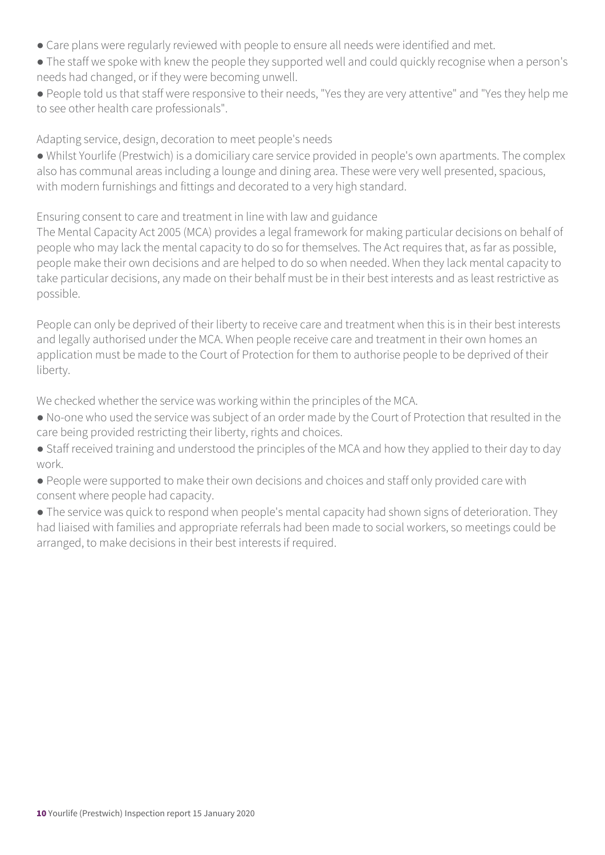- Care plans were regularly reviewed with people to ensure all needs were identified and met.
- The staff we spoke with knew the people they supported well and could quickly recognise when a person's needs had changed, or if they were becoming unwell.
- People told us that staff were responsive to their needs, "Yes they are very attentive" and "Yes they help me to see other health care professionals".

Adapting service, design, decoration to meet people's needs

● Whilst Yourlife (Prestwich) is a domiciliary care service provided in people's own apartments. The complex also has communal areas including a lounge and dining area. These were very well presented, spacious, with modern furnishings and fittings and decorated to a very high standard.

Ensuring consent to care and treatment in line with law and guidance

The Mental Capacity Act 2005 (MCA) provides a legal framework for making particular decisions on behalf of people who may lack the mental capacity to do so for themselves. The Act requires that, as far as possible, people make their own decisions and are helped to do so when needed. When they lack mental capacity to take particular decisions, any made on their behalf must be in their best interests and as least restrictive as possible.

People can only be deprived of their liberty to receive care and treatment when this is in their best interests and legally authorised under the MCA. When people receive care and treatment in their own homes an application must be made to the Court of Protection for them to authorise people to be deprived of their liberty.

We checked whether the service was working within the principles of the MCA.

- No-one who used the service was subject of an order made by the Court of Protection that resulted in the care being provided restricting their liberty, rights and choices.
- Staff received training and understood the principles of the MCA and how they applied to their day to day work.
- People were supported to make their own decisions and choices and staff only provided care with consent where people had capacity.
- The service was quick to respond when people's mental capacity had shown signs of deterioration. They had liaised with families and appropriate referrals had been made to social workers, so meetings could be arranged, to make decisions in their best interests if required.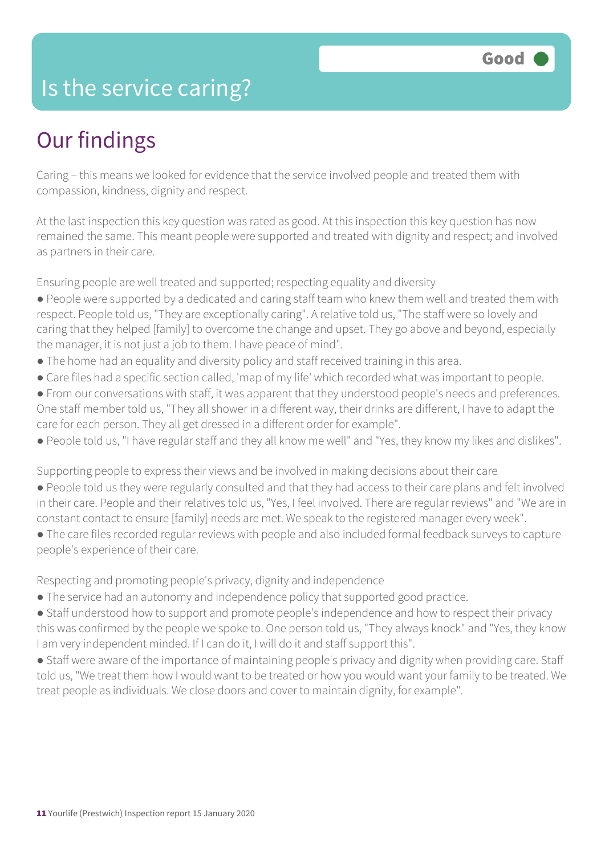### Is the service caring?

### Our findings

Caring – this means we looked for evidence that the service involved people and treated them with compassion, kindness, dignity and respect.

At the last inspection this key question was rated as good. At this inspection this key question has now remained the same. This meant people were supported and treated with dignity and respect; and involved as partners in their care.

Ensuring people are well treated and supported; respecting equality and diversity

- People were supported by a dedicated and caring staff team who knew them well and treated them with respect. People told us, "They are exceptionally caring". A relative told us, "The staff were so lovely and caring that they helped [family] to overcome the change and upset. They go above and beyond, especially the manager, it is not just a job to them. I have peace of mind".
- The home had an equality and diversity policy and staff received training in this area.
- Care files had a specific section called, 'map of my life' which recorded what was important to people.
- From our conversations with staff, it was apparent that they understood people's needs and preferences. One staff member told us, "They all shower in a different way, their drinks are different, I have to adapt the care for each person. They all get dressed in a different order for example".
- People told us, "I have regular staff and they all know me well" and "Yes, they know my likes and dislikes".

Supporting people to express their views and be involved in making decisions about their care

- People told us they were regularly consulted and that they had access to their care plans and felt involved in their care. People and their relatives told us, "Yes, I feel involved. There are regular reviews" and "We are in constant contact to ensure [family] needs are met. We speak to the registered manager every week".
- The care files recorded regular reviews with people and also included formal feedback surveys to capture people's experience of their care.

Respecting and promoting people's privacy, dignity and independence

- The service had an autonomy and independence policy that supported good practice.
- Staff understood how to support and promote people's independence and how to respect their privacy this was confirmed by the people we spoke to. One person told us, "They always knock" and "Yes, they know I am very independent minded. If I can do it, I will do it and staff support this".
- Staff were aware of the importance of maintaining people's privacy and dignity when providing care. Staff told us, "We treat them how I would want to be treated or how you would want your family to be treated. We treat people as individuals. We close doors and cover to maintain dignity, for example".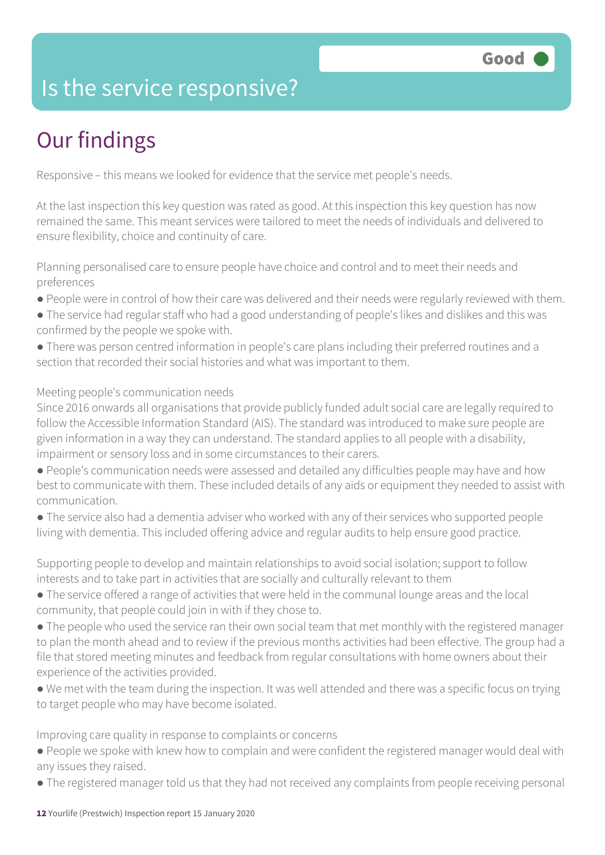### Is the service responsive?

### Our findings

Responsive – this means we looked for evidence that the service met people's needs.

At the last inspection this key question was rated as good. At this inspection this key question has now remained the same. This meant services were tailored to meet the needs of individuals and delivered to ensure flexibility, choice and continuity of care.

Planning personalised care to ensure people have choice and control and to meet their needs and preferences

- People were in control of how their care was delivered and their needs were regularly reviewed with them.
- The service had regular staff who had a good understanding of people's likes and dislikes and this was confirmed by the people we spoke with.
- There was person centred information in people's care plans including their preferred routines and a section that recorded their social histories and what was important to them.

#### Meeting people's communication needs

Since 2016 onwards all organisations that provide publicly funded adult social care are legally required to follow the Accessible Information Standard (AIS). The standard was introduced to make sure people are given information in a way they can understand. The standard applies to all people with a disability, impairment or sensory loss and in some circumstances to their carers.

- People's communication needs were assessed and detailed any difficulties people may have and how best to communicate with them. These included details of any aids or equipment they needed to assist with communication.
- The service also had a dementia adviser who worked with any of their services who supported people living with dementia. This included offering advice and regular audits to help ensure good practice.

Supporting people to develop and maintain relationships to avoid social isolation; support to follow interests and to take part in activities that are socially and culturally relevant to them

- The service offered a range of activities that were held in the communal lounge areas and the local community, that people could join in with if they chose to.
- The people who used the service ran their own social team that met monthly with the registered manager to plan the month ahead and to review if the previous months activities had been effective. The group had a file that stored meeting minutes and feedback from regular consultations with home owners about their experience of the activities provided.
- We met with the team during the inspection. It was well attended and there was a specific focus on trying to target people who may have become isolated.

Improving care quality in response to complaints or concerns

- People we spoke with knew how to complain and were confident the registered manager would deal with any issues they raised.
- The registered manager told us that they had not received any complaints from people receiving personal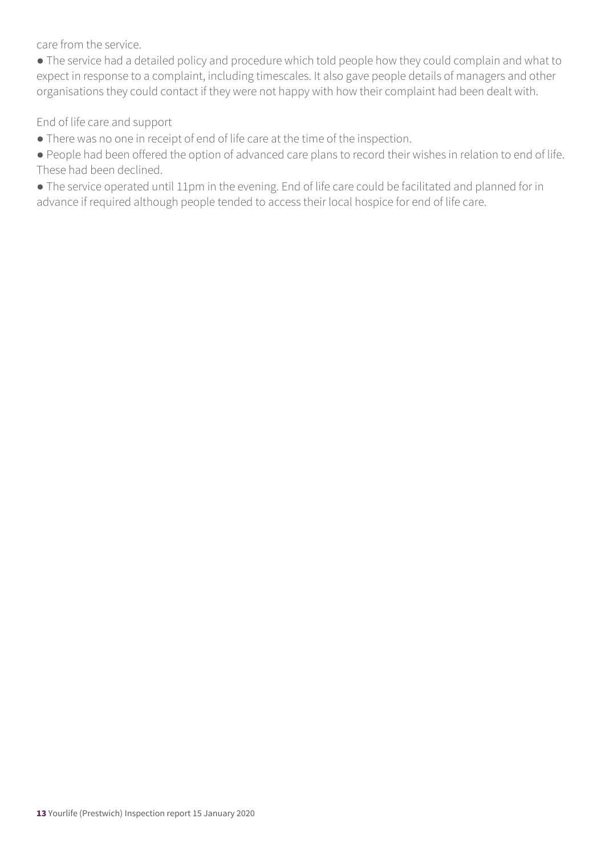care from the service.

● The service had a detailed policy and procedure which told people how they could complain and what to expect in response to a complaint, including timescales. It also gave people details of managers and other organisations they could contact if they were not happy with how their complaint had been dealt with.

End of life care and support

- There was no one in receipt of end of life care at the time of the inspection.
- People had been offered the option of advanced care plans to record their wishes in relation to end of life. These had been declined.
- The service operated until 11pm in the evening. End of life care could be facilitated and planned for in advance if required although people tended to access their local hospice for end of life care.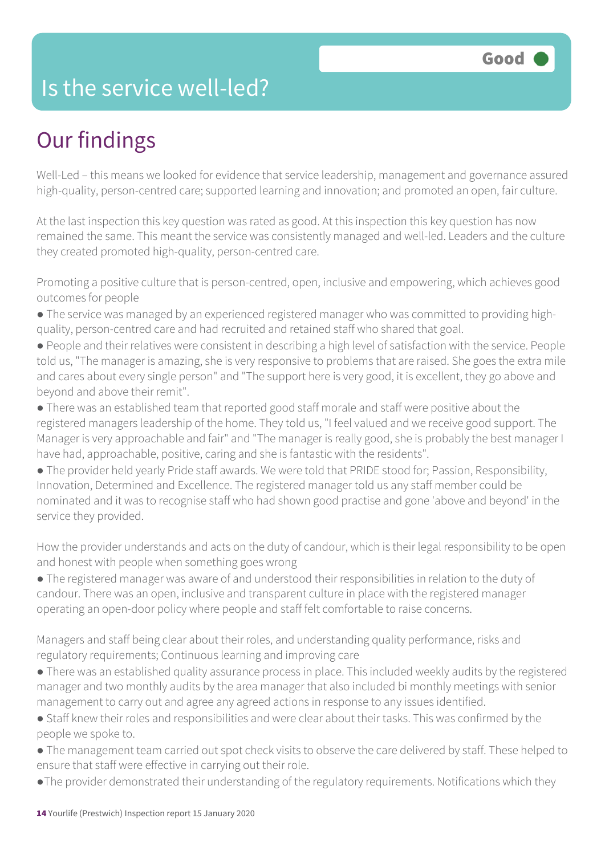### Is the service well-led?

### Our findings

Well-Led – this means we looked for evidence that service leadership, management and governance assured high-quality, person-centred care; supported learning and innovation; and promoted an open, fair culture.

At the last inspection this key question was rated as good. At this inspection this key question has now remained the same. This meant the service was consistently managed and well-led. Leaders and the culture they created promoted high-quality, person-centred care.

Promoting a positive culture that is person-centred, open, inclusive and empowering, which achieves good outcomes for people

- The service was managed by an experienced registered manager who was committed to providing highquality, person-centred care and had recruited and retained staff who shared that goal.
- People and their relatives were consistent in describing a high level of satisfaction with the service. People told us, "The manager is amazing, she is very responsive to problems that are raised. She goes the extra mile and cares about every single person" and "The support here is very good, it is excellent, they go above and beyond and above their remit".
- There was an established team that reported good staff morale and staff were positive about the registered managers leadership of the home. They told us, "I feel valued and we receive good support. The Manager is very approachable and fair" and "The manager is really good, she is probably the best manager I have had, approachable, positive, caring and she is fantastic with the residents".
- The provider held yearly Pride staff awards. We were told that PRIDE stood for; Passion, Responsibility, Innovation, Determined and Excellence. The registered manager told us any staff member could be nominated and it was to recognise staff who had shown good practise and gone 'above and beyond' in the service they provided.

How the provider understands and acts on the duty of candour, which is their legal responsibility to be open and honest with people when something goes wrong

● The registered manager was aware of and understood their responsibilities in relation to the duty of candour. There was an open, inclusive and transparent culture in place with the registered manager operating an open-door policy where people and staff felt comfortable to raise concerns.

Managers and staff being clear about their roles, and understanding quality performance, risks and regulatory requirements; Continuous learning and improving care

- There was an established quality assurance process in place. This included weekly audits by the registered manager and two monthly audits by the area manager that also included bi monthly meetings with senior management to carry out and agree any agreed actions in response to any issues identified.
- Staff knew their roles and responsibilities and were clear about their tasks. This was confirmed by the people we spoke to.
- The management team carried out spot check visits to observe the care delivered by staff. These helped to ensure that staff were effective in carrying out their role.
- ●The provider demonstrated their understanding of the regulatory requirements. Notifications which they